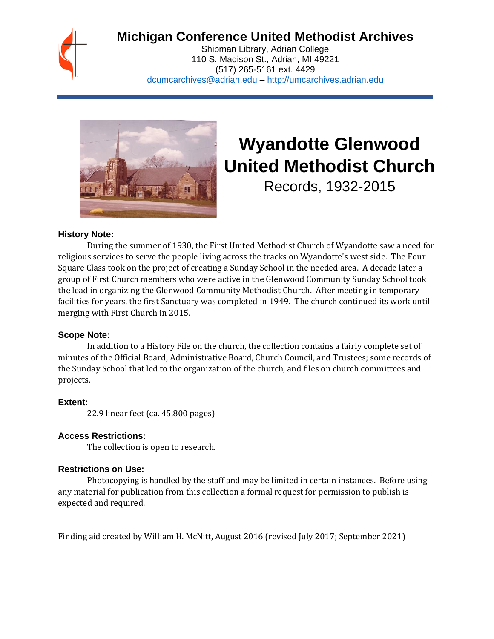

# **Michigan Conference United Methodist Archives**

Shipman Library, Adrian College 110 S. Madison St., Adrian, MI 49221 (517) 265-5161 ext. 4429 [dcumcarchives@adrian.edu](mailto:dcumcarchives@adrian.edu) – [http://umcarchives.adrian.edu](http://umcarchives.adrian.edu/)



# **Wyandotte Glenwood United Methodist Church**

Records, 1932-2015

#### **History Note:**

During the summer of 1930, the First United Methodist Church of Wyandotte saw a need for religious services to serve the people living across the tracks on Wyandotte's west side. The Four Square Class took on the project of creating a Sunday School in the needed area. A decade later a group of First Church members who were active in the Glenwood Community Sunday School took the lead in organizing the Glenwood Community Methodist Church. After meeting in temporary facilities for years, the first Sanctuary was completed in 1949. The church continued its work until merging with First Church in 2015.

#### **Scope Note:**

In addition to a History File on the church, the collection contains a fairly complete set of minutes of the Official Board, Administrative Board, Church Council, and Trustees; some records of the Sunday School that led to the organization of the church, and files on church committees and projects.

#### **Extent:**

22.9 linear feet (ca. 45,800 pages)

#### **Access Restrictions:**

The collection is open to research.

#### **Restrictions on Use:**

Photocopying is handled by the staff and may be limited in certain instances. Before using any material for publication from this collection a formal request for permission to publish is expected and required.

Finding aid created by William H. McNitt, August 2016 (revised July 2017; September 2021)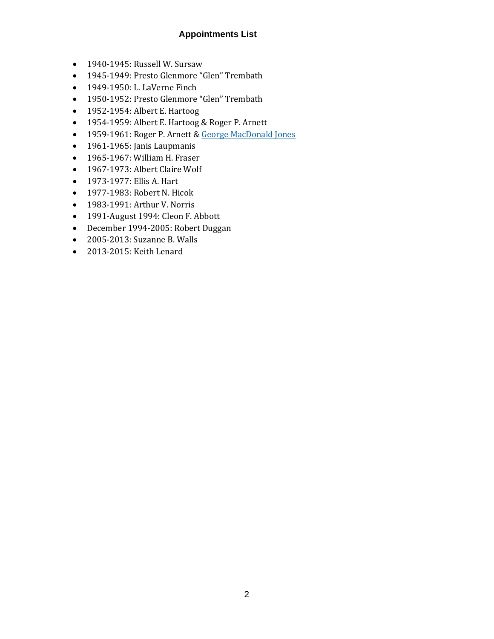# **Appointments List**

- 1940-1945: Russell W. Sursaw
- 1945-1949: Presto Glenmore "Glen" Trembath
- 1949-1950: L. LaVerne Finch
- 1950-1952: Presto Glenmore "Glen" Trembath
- 1952-1954: Albert E. Hartoog
- 1954-1959: Albert E. Hartoog & Roger P. Arnett
- 1959-1961: Roger P. Arnett & [George MacDonald Jones](http://umcarchives.adrian.edu/clergy/jonesgm.php)
- 1961-1965: Janis Laupmanis
- 1965-1967: William H. Fraser
- 1967-1973: Albert Claire Wolf
- 1973-1977: Ellis A. Hart
- 1977-1983: Robert N. Hicok
- 1983-1991: Arthur V. Norris
- 1991-August 1994: Cleon F. Abbott
- December 1994-2005: Robert Duggan
- 2005-2013: Suzanne B. Walls
- 2013-2015: Keith Lenard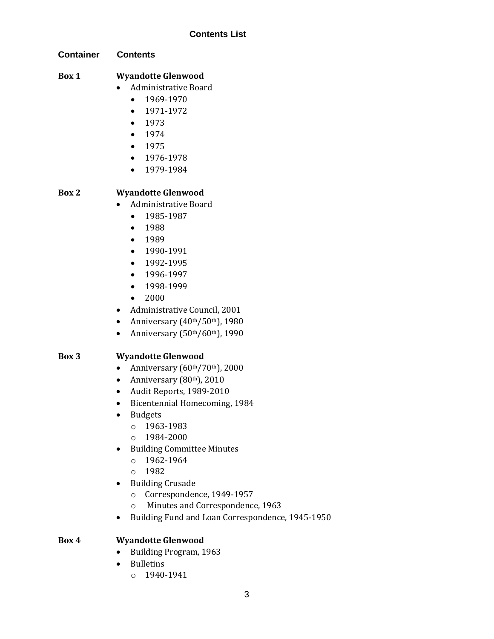**Container Contents**

# **Box 1 Wyandotte Glenwood**

- Administrative Board
	- 1969-1970
	- 1971-1972
	- 1973
	- 1974
	- 1975
	- 1976-1978
	- 1979-1984

# **Box 2 Wyandotte Glenwood**

- Administrative Board
	- 1985-1987
	- 1988
	- 1989
	- 1990-1991
	- 1992-1995
	- 1996-1997
	- 1998-1999
	- 2000
- Administrative Council, 2001
- Anniversary  $(40<sup>th</sup>/50<sup>th</sup>)$ , 1980
- Anniversary  $(50<sup>th</sup>/60<sup>th</sup>)$ , 1990

# **Box 3 Wyandotte Glenwood**

- Anniversary  $(60<sup>th</sup>/70<sup>th</sup>)$ , 2000
- Anniversary  $(80<sup>th</sup>)$ , 2010
- Audit Reports, 1989-2010
- Bicentennial Homecoming, 1984
- Budgets
	- o 1963-1983
	- o 1984-2000
- Building Committee Minutes
	- $o$  1962-1964
	- o 1982
- Building Crusade
	- o Correspondence, 1949-1957
	- o Minutes and Correspondence, 1963
- Building Fund and Loan Correspondence, 1945-1950

#### **Box 4 Wyandotte Glenwood**

- Building Program, 1963
- Bulletins
	- o 1940-1941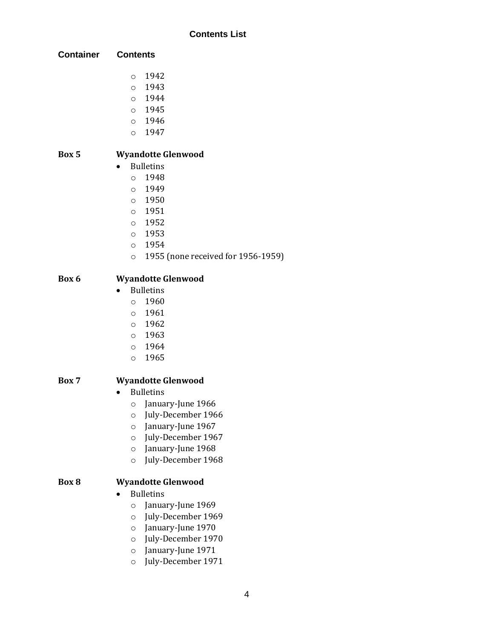| <b>Container</b> | <b>Contents</b> |
|------------------|-----------------|
|------------------|-----------------|

- o 1942
- o 1943
- o 1944
- o 1945
- o 1946
- o 1947

# **Box 5 Wyandotte Glenwood**

- Bulletins
	- $0.1948$
	- o 1949
	- o 1950
	- o 1951
	- o 1952
	- o 1953
	- o 1954
	- o 1955 (none received for 1956-1959)

# **Box 6 Wyandotte Glenwood**

- Bulletins
	- o 1960
	- o 1961
	- o 1962
	- o 1963
	- o 1964
	- o 1965

# **Box 7 Wyandotte Glenwood**

- Bulletins
	- o January-June 1966
	- o July-December 1966
	- o January-June 1967
	- o July-December 1967
	- o January-June 1968
	- o July-December 1968

# **Box 8 Wyandotte Glenwood**

- Bulletins
	- o January-June 1969
	- o July-December 1969
	- o January-June 1970
	- o July-December 1970
	- o January-June 1971
	- o July-December 1971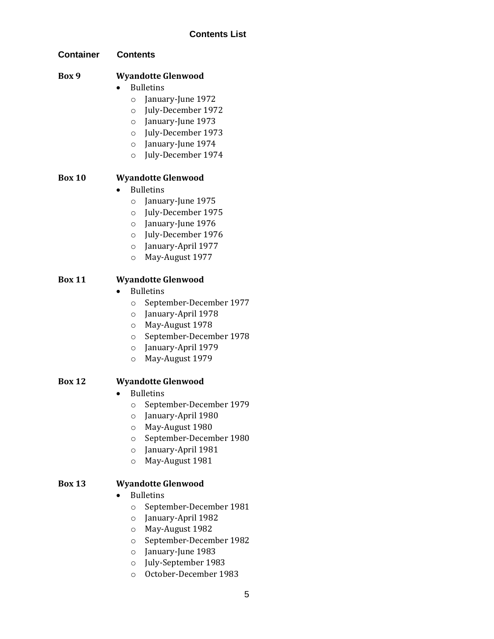| <b>Contents</b> |
|-----------------|
|                 |
|                 |

# **Box 9 Wyandotte Glenwood**

## • Bulletins

- o January-June 1972
- o July-December 1972
- o January-June 1973
- o July-December 1973
- o January-June 1974
- o July-December 1974

# **Box 10 Wyandotte Glenwood**

- Bulletins
	- o January-June 1975
	- o July-December 1975
	- o January-June 1976
	- o July-December 1976
	- o January-April 1977
	- o May-August 1977

# **Box 11 Wyandotte Glenwood**

- Bulletins
	- o September-December 1977
	- o January-April 1978
	- o May-August 1978
	- o September-December 1978
	- o January-April 1979
	- o May-August 1979

# **Box 12 Wyandotte Glenwood**

- Bulletins
	- o September-December 1979
	- o January-April 1980
	- o May-August 1980
	- o September-December 1980
	- o January-April 1981
	- o May-August 1981

# **Box 13 Wyandotte Glenwood**

- Bulletins
	- o September-December 1981
	- o January-April 1982
	- o May-August 1982
	- o September-December 1982
	- o January-June 1983
	- o July-September 1983
	- o October-December 1983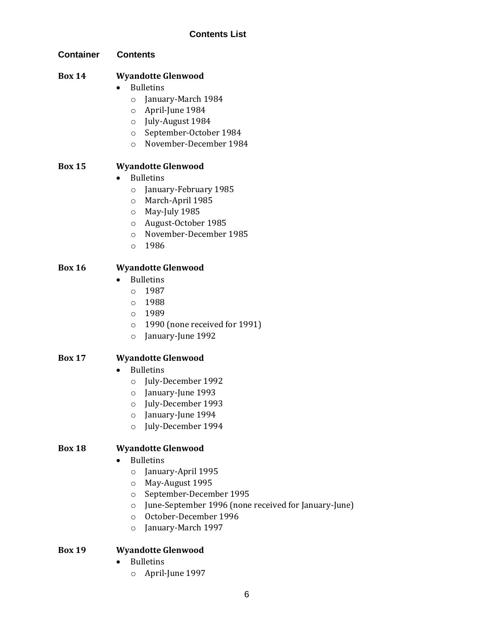**Container Contents**

# **Box 14 Wyandotte Glenwood**

- Bulletins
	- o January-March 1984
	- o April-June 1984
	- o July-August 1984
	- o September-October 1984
	- o November-December 1984

# **Box 15 Wyandotte Glenwood**

- Bulletins
	- o January-February 1985
	- o March-April 1985
	- o May-July 1985
	- o August-October 1985
	- o November-December 1985
	- o 1986

## **Box 16 Wyandotte Glenwood**

- Bulletins
	- o 1987
	- o 1988
	- o 1989
	- o 1990 (none received for 1991)
	- o January-June 1992

#### **Box 17 Wyandotte Glenwood**

- Bulletins
	- o July-December 1992
	- o January-June 1993
	- o July-December 1993
	- o January-June 1994
	- o July-December 1994

# **Box 18 Wyandotte Glenwood**

- Bulletins
	- o January-April 1995
	- o May-August 1995
	- o September-December 1995
	- o June-September 1996 (none received for January-June)
	- o October-December 1996
	- o January-March 1997

# **Box 19 Wyandotte Glenwood**

- Bulletins
	- o April-June 1997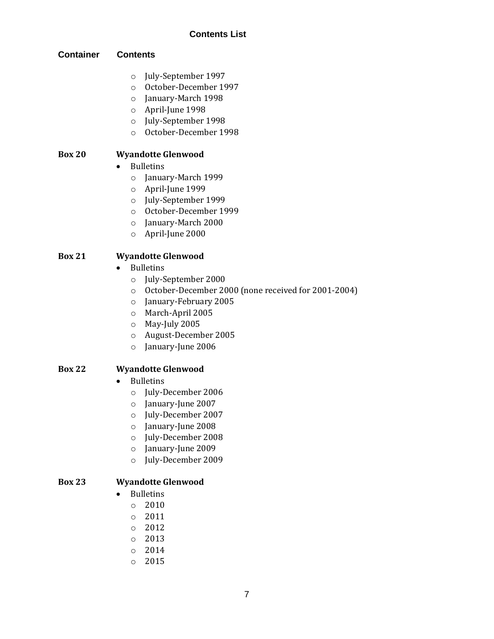#### **Container Contents**

- o July-September 1997
- o October-December 1997
- o January-March 1998
- o April-June 1998
- o July-September 1998
- o October-December 1998

# **Box 20 Wyandotte Glenwood**

- Bulletins
	- o January-March 1999
	- o April-June 1999
	- o July-September 1999
	- o October-December 1999
	- o January-March 2000
	- o April-June 2000

## **Box 21 Wyandotte Glenwood**

- Bulletins
	- o July-September 2000
	- o October-December 2000 (none received for 2001-2004)
	- o January-February 2005
	- o March-April 2005
	- o May-July 2005
	- o August-December 2005
	- o January-June 2006

#### **Box 22 Wyandotte Glenwood**

- Bulletins
	- o July-December 2006
	- o January-June 2007
	- o July-December 2007
	- o January-June 2008
	- o July-December 2008
	- o January-June 2009
	- o July-December 2009

#### **Box 23 Wyandotte Glenwood**

- Bulletins
	- o 2010
	- o 2011
	- o 2012
	- o 2013
	- o 2014
	- o 2015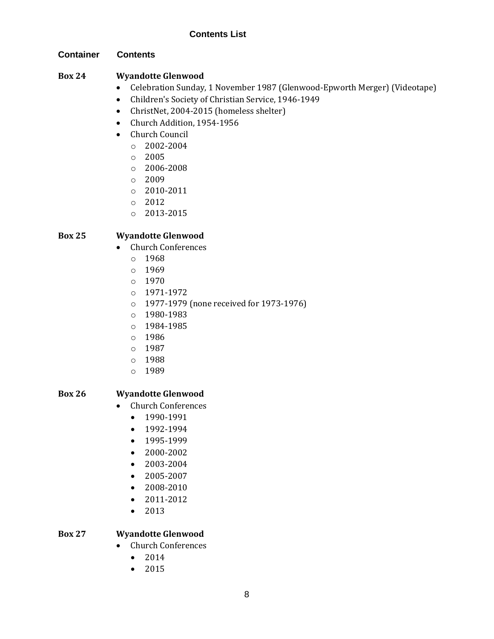#### **Container Contents**

# **Box 24 Wyandotte Glenwood**

- Celebration Sunday, 1 November 1987 (Glenwood-Epworth Merger) (Videotape)
- Children's Society of Christian Service, 1946-1949
- ChristNet, 2004-2015 (homeless shelter)
- Church Addition, 1954-1956
- Church Council
	- o 2002-2004
	- $\circ$  2005
	- o 2006-2008
	- o 2009
	- o 2010-2011
	- o 2012
	- o 2013-2015

# **Box 25 Wyandotte Glenwood**

- Church Conferences
	- o 1968
	- o 1969
	- $O 1970$
	- o 1971-1972
	- o 1977-1979 (none received for 1973-1976)
	- o 1980-1983
	- o 1984-1985
	- o 1986
	- o 1987
	- o 1988
	- o 1989

# **Box 26 Wyandotte Glenwood**

- Church Conferences
	- 1990-1991
	- 1992-1994
	- 1995-1999
	- 2000-2002
	- 2003-2004
	- 2005-2007
	- 2008-2010
	- 2011-2012
	- 2013

# **Box 27 Wyandotte Glenwood**

- Church Conferences
	- 2014
	- 2015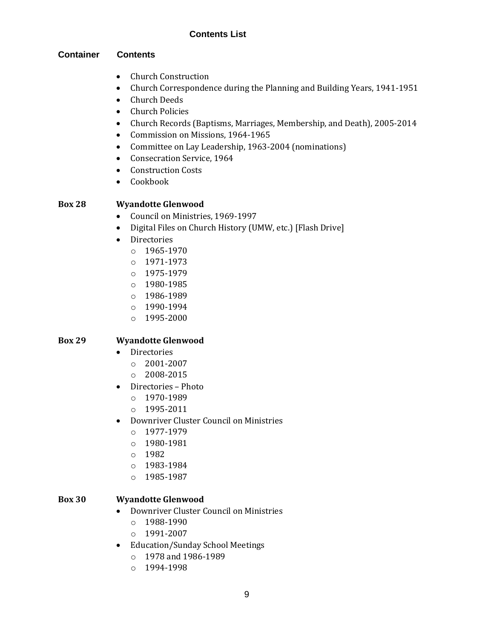## **Container Contents**

- Church Construction
- Church Correspondence during the Planning and Building Years, 1941-1951
- Church Deeds
- Church Policies
- Church Records (Baptisms, Marriages, Membership, and Death), 2005-2014
- Commission on Missions, 1964-1965
- Committee on Lay Leadership, 1963-2004 (nominations)
- Consecration Service, 1964
- Construction Costs
- Cookbook

# **Box 28 Wyandotte Glenwood**

- Council on Ministries, 1969-1997
- Digital Files on Church History (UMW, etc.) [Flash Drive]
- Directories
	- o 1965-1970
	- o 1971-1973
	- $O$  1975-1979
	- o 1980-1985
	- o 1986-1989
	- o 1990-1994
	- o 1995-2000

# **Box 29 Wyandotte Glenwood**

- Directories
	- o 2001-2007
	- $O$  2008-2015
- Directories Photo
	- o 1970-1989
	- o 1995-2011
- Downriver Cluster Council on Ministries
	- o 1977-1979
	- o 1980-1981
	- o 1982
	- o 1983-1984
	- o 1985-1987

# **Box 30 Wyandotte Glenwood**

- Downriver Cluster Council on Ministries
	- o 1988-1990
	- o 1991-2007
- Education/Sunday School Meetings
	- o 1978 and 1986-1989
	- o 1994-1998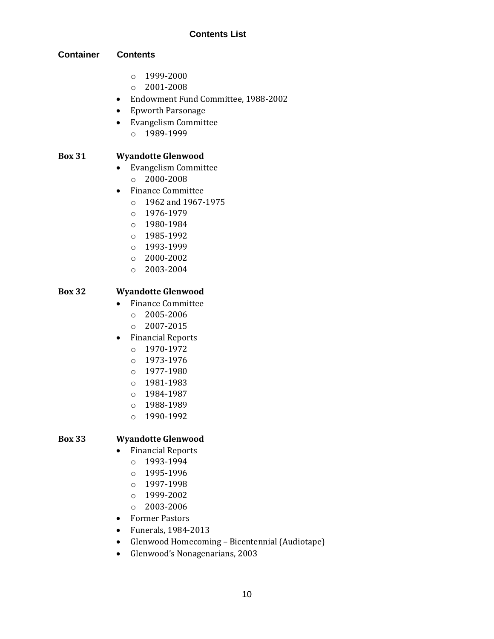#### **Container Contents**

- o 1999-2000
- o 2001-2008
- Endowment Fund Committee, 1988-2002
- Epworth Parsonage
- Evangelism Committee
	- o 1989-1999

## **Box 31 Wyandotte Glenwood**

- Evangelism Committee
	- o 2000-2008
- Finance Committee
	- o 1962 and 1967-1975
	- o 1976-1979
	- o 1980-1984
	- o 1985-1992
	- o 1993-1999
	- o 2000-2002
	- o 2003-2004

## **Box 32 Wyandotte Glenwood**

- Finance Committee
	- o 2005-2006
	- o 2007-2015
- Financial Reports
	- o 1970-1972
	- o 1973-1976
	- o 1977-1980
	- o 1981-1983
	- o 1984-1987
	- o 1988-1989
	- o 1990-1992

#### **Box 33 Wyandotte Glenwood**

- Financial Reports
	- o 1993-1994
	- o 1995-1996
	- o 1997-1998
	- o 1999-2002
	- o 2003-2006
- Former Pastors
- Funerals, 1984-2013
- Glenwood Homecoming Bicentennial (Audiotape)
- Glenwood's Nonagenarians, 2003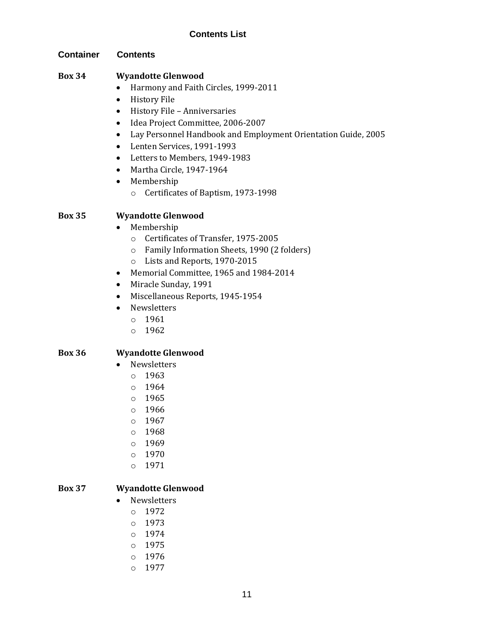#### **Container Contents**

### **Box 34 Wyandotte Glenwood**

- Harmony and Faith Circles, 1999-2011
- History File
- History File Anniversaries
- Idea Project Committee, 2006-2007
- Lay Personnel Handbook and Employment Orientation Guide, 2005
- Lenten Services, 1991-1993
- Letters to Members, 1949-1983
- Martha Circle, 1947-1964
- Membership
	- o Certificates of Baptism, 1973-1998

#### **Box 35 Wyandotte Glenwood**

- Membership
	- o Certificates of Transfer, 1975-2005
	- o Family Information Sheets, 1990 (2 folders)
	- o Lists and Reports, 1970-2015
- Memorial Committee, 1965 and 1984-2014
- Miracle Sunday, 1991
- Miscellaneous Reports, 1945-1954
- Newsletters
	- o 1961
	- o 1962

#### **Box 36 Wyandotte Glenwood**

- Newsletters
	- o 1963
	- o 1964
	- o 1965
	- o 1966
	- o 1967
	- o 1968
	- o 1969
	- o 1970
	- o 1971

#### **Box 37 Wyandotte Glenwood**

- Newsletters
	- o 1972
	- o 1973
	- $0.1974$
	- o 1975
	- o 1976
	- o 1977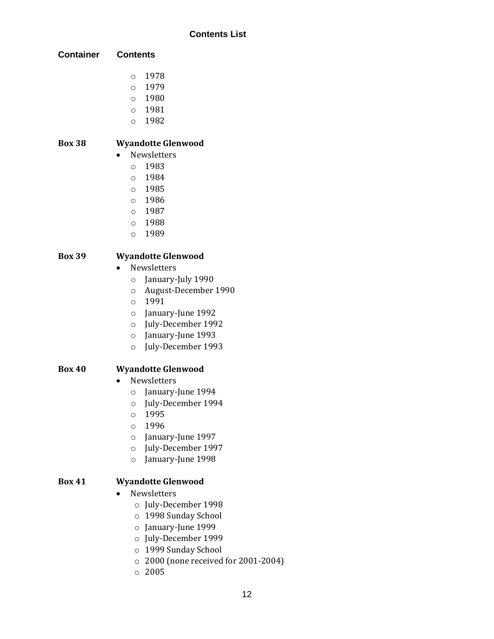| <b>Contents</b> |
|-----------------|
|                 |

- o 1978
- o 1979
- o 1980 o 1981
- o 1982

# **Box 38 Wyandotte Glenwood**

- Newsletters
	- o 1983
	- o 1984
	- o 1985
	- o 1986
	- o 1987
	- o 1988
	- o 1989

# **Box 39 Wyandotte Glenwood**

- Newsletters
	- o January-July 1990
	- o August-December 1990
	- o 1991
	- o January-June 1992
	- o July-December 1992
	- o January-June 1993
	- o July-December 1993

# **Box 40 Wyandotte Glenwood**

- Newsletters
	- o January-June 1994
	- o July-December 1994
	- o 1995
	- o 1996
	- o January-June 1997
	- o July-December 1997
	- o January-June 1998

# **Box 41 Wyandotte Glenwood**

- Newsletters
	- o July-December 1998
	- o 1998 Sunday School
	- o January-June 1999
	- o July-December 1999
	- o 1999 Sunday School
	- o 2000 (none received for 2001-2004)
	- o 2005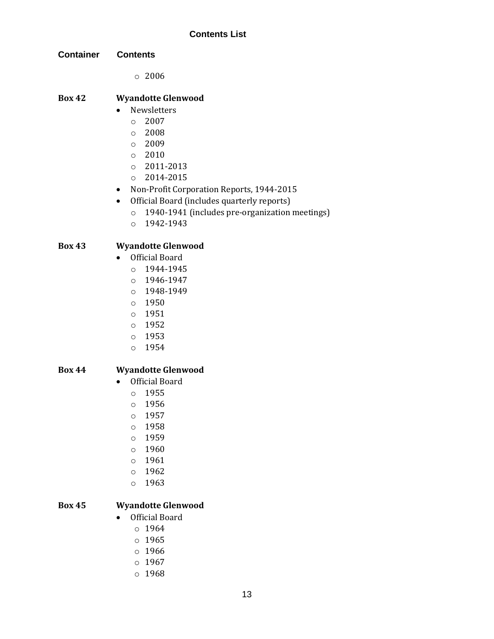**Container Contents**

o 2006

#### **Box 42 Wyandotte Glenwood**

- Newsletters
	- $O 2007$
	- o 2008
	- o 2009
	- o 2010
	- o 2011-2013
	- o 2014-2015
- Non-Profit Corporation Reports, 1944-2015
- Official Board (includes quarterly reports)
	- o 1940-1941 (includes pre-organization meetings)
	- o 1942-1943

# **Box 43 Wyandotte Glenwood**

- Official Board
	- o 1944-1945
	- o 1946-1947
	- o 1948-1949
	- o 1950
	- o 1951
	- o 1952
	- o 1953
	- o 1954

#### **Box 44 Wyandotte Glenwood**

- Official Board
	- o 1955
	- o 1956
	- o 1957
	- o 1958
	- o 1959
	- o 1960
	- o 1961
	- o 1962
	-
	- o 1963

# **Box 45 Wyandotte Glenwood**

- Official Board
	- o 1964
	- o 1965
	- o 1966
	- o 1967
	- o 1968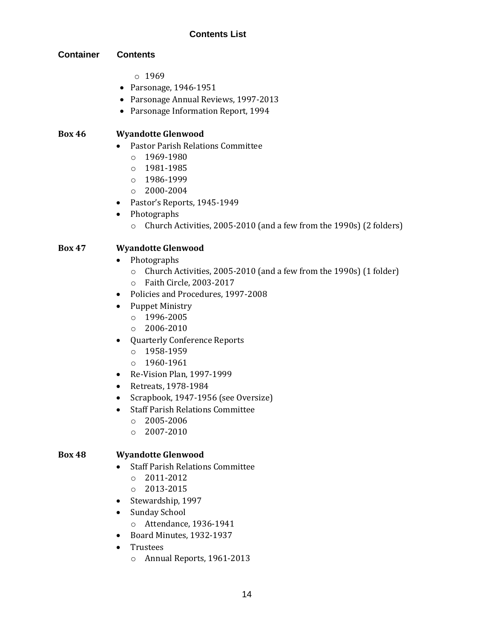#### **Container Contents**

- $0.1969$
- Parsonage, 1946-1951
- Parsonage Annual Reviews, 1997-2013
- Parsonage Information Report, 1994

#### **Box 46 Wyandotte Glenwood**

- Pastor Parish Relations Committee
	- $0.1969 1980$
	- o 1981-1985
	- o 1986-1999
	- o 2000-2004
- Pastor's Reports, 1945-1949
- Photographs
	- o Church Activities, 2005-2010 (and a few from the 1990s) (2 folders)

## **Box 47 Wyandotte Glenwood**

- Photographs
	- o Church Activities, 2005-2010 (and a few from the 1990s) (1 folder)
	- o Faith Circle, 2003-2017
- Policies and Procedures, 1997-2008
- Puppet Ministry
	- o 1996-2005
	- o 2006-2010
- Quarterly Conference Reports
	- o 1958-1959
	- o 1960-1961
- Re-Vision Plan, 1997-1999
- Retreats, 1978-1984
- Scrapbook, 1947-1956 (see Oversize)
- Staff Parish Relations Committee
	- o 2005-2006
	- o 2007-2010

#### **Box 48 Wyandotte Glenwood**

- Staff Parish Relations Committee
	- o 2011-2012
	- o 2013-2015
- Stewardship, 1997
- Sunday School
	- o Attendance, 1936-1941
- Board Minutes, 1932-1937
- Trustees
	- o Annual Reports, 1961-2013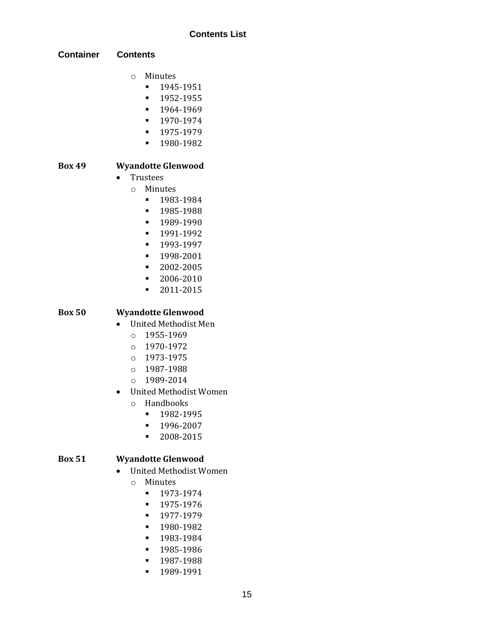#### **Container Contents**

- o Minutes
	- 1945-1951
	- 1952-1955
	- 1964-1969
	- 1970-1974
	- 1975-1979
	- 1980-1982

# **Box 49 Wyandotte Glenwood**

- Trustees
	- o Minutes
		- 1983-1984
		- 1985-1988
		- **•** 1989-1990
		- 1991-1992
		- 1993-1997
		- 1998-2001
		- 2002-2005
		- 2006-2010
		- 2011-2015

#### **Box 50 Wyandotte Glenwood**

- United Methodist Men
	- o 1955-1969
	- o 1970-1972
	- o 1973-1975
	- o 1987-1988
	- o 1989-2014
- United Methodist Women
	- o Handbooks
		- 1982-1995
		- 1996-2007
		- 2008-2015

#### **Box 51 Wyandotte Glenwood**

- United Methodist Women
	- o Minutes
		- 1973-1974
		- 1975-1976
		- 1977-1979
		- 1980-1982
		- 1983-1984
		- **•** 1985-1986
		- 1987-1988
		- 1989-1991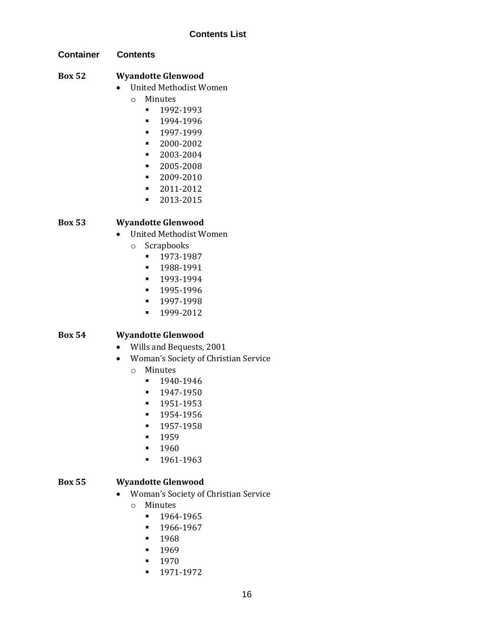**Container Contents**

# **Box 52 Wyandotte Glenwood**

- United Methodist Women
	- o Minutes
		- 1992-1993
		- **■** 1994-1996
		- 1997-1999
		- 2000-2002
		- 2003-2004
		- 2005-2008
		- 2009-2010
		- 2011-2012
		- 2013-2015

# **Box 53 Wyandotte Glenwood**

- United Methodist Women
	- o Scrapbooks
		- 1973-1987
		- 1988-1991
		- 1993-1994
		- 1995-1996
		- 1997-1998
		- 1999-2012

# **Box 54 Wyandotte Glenwood**

- Wills and Bequests, 2001
- Woman's Society of Christian Service
	- o Minutes
		- 1940-1946
		- 1947-1950
		- 1951-1953
		- 1954-1956
		- 1957-1958
		- 1959
		- **•** 1960
		- 1961-1963

#### **Box 55 Wyandotte Glenwood**

- Woman's Society of Christian Service
	- o Minutes
		- 1964-1965
		- 1966-1967
		- 1968
		- **•** 1969
		- 1970
		- 1971-1972